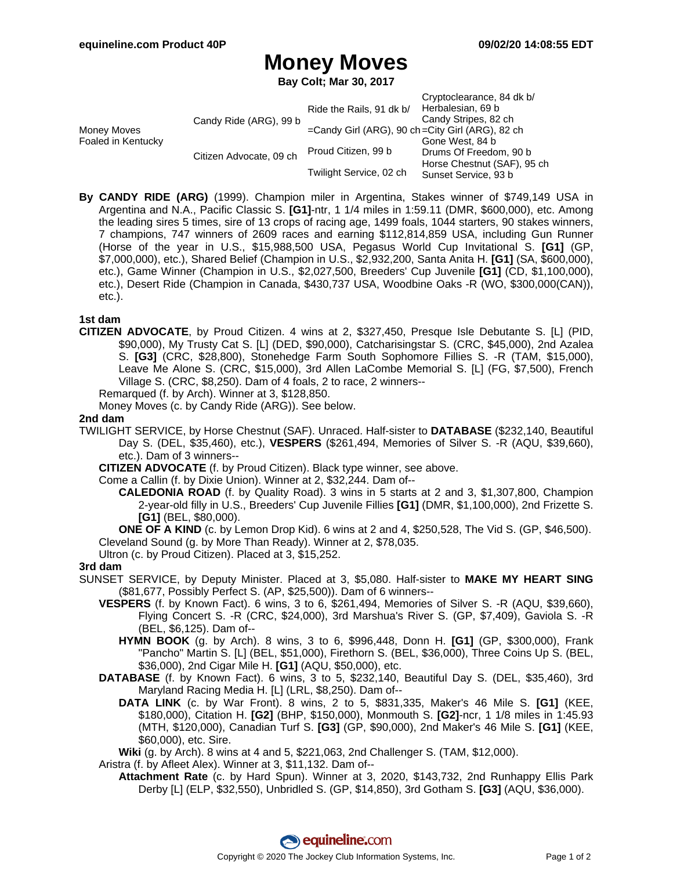# **Money Moves**

**Bay Colt; Mar 30, 2017**

| Money Moves<br>Foaled in Kentucky | Candy Ride (ARG), 99 b  | Ride the Rails, 91 dk b/<br>$=$ Candy Girl (ARG), 90 ch $=$ City Girl (ARG), 82 ch | Cryptoclearance, 84 dk b/<br>Herbalesian, 69 b<br>Candy Stripes, 82 ch |
|-----------------------------------|-------------------------|------------------------------------------------------------------------------------|------------------------------------------------------------------------|
|                                   | Citizen Advocate, 09 ch |                                                                                    | Gone West, 84 b                                                        |
|                                   |                         | Proud Citizen, 99 b                                                                | Drums Of Freedom, 90 b                                                 |
|                                   |                         | Twilight Service, 02 ch                                                            | Horse Chestnut (SAF), 95 ch<br>Sunset Service, 93 b                    |

**By CANDY RIDE (ARG)** (1999). Champion miler in Argentina, Stakes winner of \$749,149 USA in Argentina and N.A., Pacific Classic S. **[G1]**-ntr, 1 1/4 miles in 1:59.11 (DMR, \$600,000), etc. Among the leading sires 5 times, sire of 13 crops of racing age, 1499 foals, 1044 starters, 90 stakes winners, 7 champions, 747 winners of 2609 races and earning \$112,814,859 USA, including Gun Runner (Horse of the year in U.S., \$15,988,500 USA, Pegasus World Cup Invitational S. **[G1]** (GP, \$7,000,000), etc.), Shared Belief (Champion in U.S., \$2,932,200, Santa Anita H. **[G1]** (SA, \$600,000), etc.), Game Winner (Champion in U.S., \$2,027,500, Breeders' Cup Juvenile **[G1]** (CD, \$1,100,000), etc.), Desert Ride (Champion in Canada, \$430,737 USA, Woodbine Oaks -R (WO, \$300,000(CAN)), etc.).

### **1st dam**

**CITIZEN ADVOCATE**, by Proud Citizen. 4 wins at 2, \$327,450, Presque Isle Debutante S. [L] (PID, \$90,000), My Trusty Cat S. [L] (DED, \$90,000), Catcharisingstar S. (CRC, \$45,000), 2nd Azalea S. **[G3]** (CRC, \$28,800), Stonehedge Farm South Sophomore Fillies S. -R (TAM, \$15,000), Leave Me Alone S. (CRC, \$15,000), 3rd Allen LaCombe Memorial S. [L] (FG, \$7,500), French Village S. (CRC, \$8,250). Dam of 4 foals, 2 to race, 2 winners--

Remarqued (f. by Arch). Winner at 3, \$128,850.

Money Moves (c. by Candy Ride (ARG)). See below.

#### **2nd dam**

TWILIGHT SERVICE, by Horse Chestnut (SAF). Unraced. Half-sister to **DATABASE** (\$232,140, Beautiful Day S. (DEL, \$35,460), etc.), **VESPERS** (\$261,494, Memories of Silver S. -R (AQU, \$39,660), etc.). Dam of 3 winners--

**CITIZEN ADVOCATE** (f. by Proud Citizen). Black type winner, see above.

Come a Callin (f. by Dixie Union). Winner at 2, \$32,244. Dam of--

**CALEDONIA ROAD** (f. by Quality Road). 3 wins in 5 starts at 2 and 3, \$1,307,800, Champion 2-year-old filly in U.S., Breeders' Cup Juvenile Fillies **[G1]** (DMR, \$1,100,000), 2nd Frizette S. **[G1]** (BEL, \$80,000).

**ONE OF A KIND** (c. by Lemon Drop Kid). 6 wins at 2 and 4, \$250,528, The Vid S. (GP, \$46,500). Cleveland Sound (g. by More Than Ready). Winner at 2, \$78,035.

Ultron (c. by Proud Citizen). Placed at 3, \$15,252.

#### **3rd dam**

- SUNSET SERVICE, by Deputy Minister. Placed at 3, \$5,080. Half-sister to **MAKE MY HEART SING** (\$81,677, Possibly Perfect S. (AP, \$25,500)). Dam of 6 winners--
	- **VESPERS** (f. by Known Fact). 6 wins, 3 to 6, \$261,494, Memories of Silver S. -R (AQU, \$39,660), Flying Concert S. -R (CRC, \$24,000), 3rd Marshua's River S. (GP, \$7,409), Gaviola S. -R (BEL, \$6,125). Dam of--
		- **HYMN BOOK** (g. by Arch). 8 wins, 3 to 6, \$996,448, Donn H. **[G1]** (GP, \$300,000), Frank "Pancho" Martin S. [L] (BEL, \$51,000), Firethorn S. (BEL, \$36,000), Three Coins Up S. (BEL, \$36,000), 2nd Cigar Mile H. **[G1]** (AQU, \$50,000), etc.
	- **DATABASE** (f. by Known Fact). 6 wins, 3 to 5, \$232,140, Beautiful Day S. (DEL, \$35,460), 3rd Maryland Racing Media H. [L] (LRL, \$8,250). Dam of--
		- **DATA LINK** (c. by War Front). 8 wins, 2 to 5, \$831,335, Maker's 46 Mile S. **[G1]** (KEE, \$180,000), Citation H. **[G2]** (BHP, \$150,000), Monmouth S. **[G2]**-ncr, 1 1/8 miles in 1:45.93 (MTH, \$120,000), Canadian Turf S. **[G3]** (GP, \$90,000), 2nd Maker's 46 Mile S. **[G1]** (KEE, \$60,000), etc. Sire.

**Wiki** (g. by Arch). 8 wins at 4 and 5, \$221,063, 2nd Challenger S. (TAM, \$12,000).

Aristra (f. by Afleet Alex). Winner at 3, \$11,132. Dam of--

**Attachment Rate** (c. by Hard Spun). Winner at 3, 2020, \$143,732, 2nd Runhappy Ellis Park Derby [L] (ELP, \$32,550), Unbridled S. (GP, \$14,850), 3rd Gotham S. **[G3]** (AQU, \$36,000).